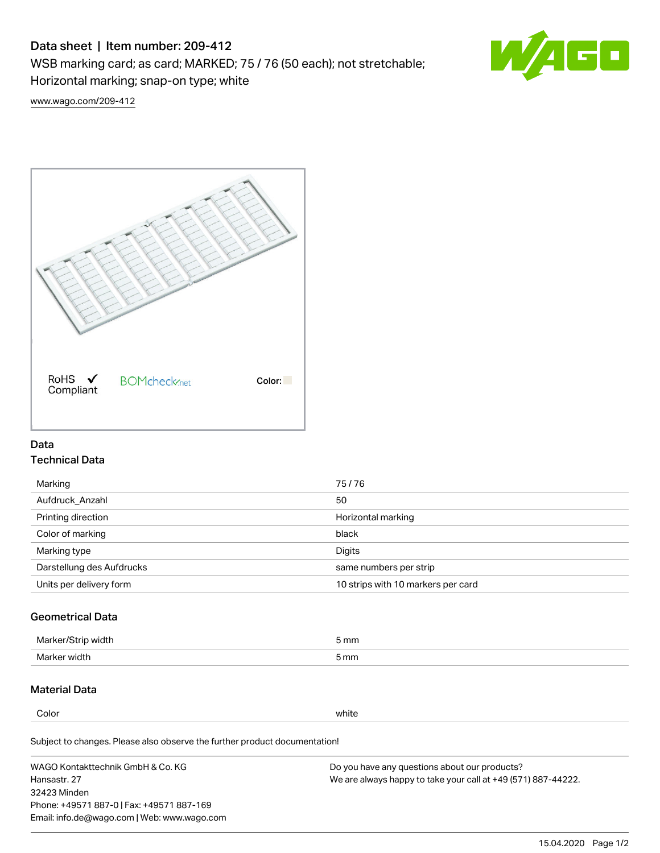# Data sheet | Item number: 209-412

WSB marking card; as card; MARKED; 75 / 76 (50 each); not stretchable;

Horizontal marking; snap-on type; white



[www.wago.com/209-412](http://www.wago.com/209-412)



### Data Technical Data

| 75/76                              |
|------------------------------------|
| 50                                 |
| Horizontal marking                 |
| black                              |
| Digits                             |
| same numbers per strip             |
| 10 strips with 10 markers per card |
|                                    |

## Geometrical Data

| <b>Marker</b><br>width | 5 mm |
|------------------------|------|
| Marker width           | 5 mm |

### Material Data

Color white

Subject to changes. Please also observe the further product documentation!

WAGO Kontakttechnik GmbH & Co. KG Hansastr. 27 32423 Minden Phone: +49571 887-0 | Fax: +49571 887-169 Email: info.de@wago.com | Web: www.wago.com Do you have any questions about our products? We are always happy to take your call at +49 (571) 887-44222.